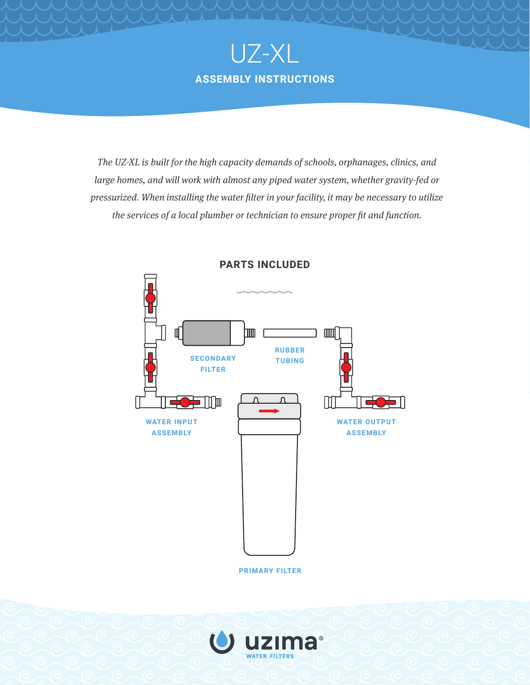

*The UZ-XL is built for the high capacity demands of schools, orphanages, clinics, and large homes, and will work with almost any piped water system, whether gravity-fed or pressurized. When installing the water filter in your facility, it may be necessary to utilize the services of a local plumber or technician to ensure proper fit and function.*



**PARTS INCLUDED**